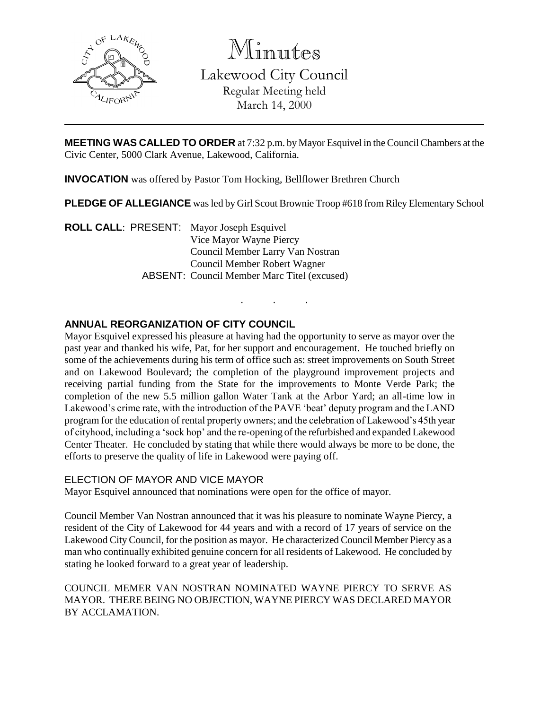

Minutes

Lakewood City Council Regular Meeting held March 14, 2000

**MEETING WAS CALLED TO ORDER** at 7:32 p.m. by Mayor Esquivel in the Council Chambers at the Civic Center, 5000 Clark Avenue, Lakewood, California.

**INVOCATION** was offered by Pastor Tom Hocking, Bellflower Brethren Church

**PLEDGE OF ALLEGIANCE** was led by Girl Scout Brownie Troop #618 from Riley Elementary School

. . .

**ROLL CALL**: PRESENT: Mayor Joseph Esquivel Vice Mayor Wayne Piercy Council Member Larry Van Nostran Council Member Robert Wagner ABSENT: Council Member Marc Titel (excused)

# **ANNUAL REORGANIZATION OF CITY COUNCIL**

Mayor Esquivel expressed his pleasure at having had the opportunity to serve as mayor over the past year and thanked his wife, Pat, for her support and encouragement. He touched briefly on some of the achievements during his term of office such as: street improvements on South Street and on Lakewood Boulevard; the completion of the playground improvement projects and receiving partial funding from the State for the improvements to Monte Verde Park; the completion of the new 5.5 million gallon Water Tank at the Arbor Yard; an all-time low in Lakewood's crime rate, with the introduction of the PAVE 'beat' deputy program and the LAND program for the education of rental property owners; and the celebration of Lakewood's 45th year of cityhood, including a 'sock hop' and the re-opening of the refurbished and expanded Lakewood Center Theater. He concluded by stating that while there would always be more to be done, the efforts to preserve the quality of life in Lakewood were paying off.

#### ELECTION OF MAYOR AND VICE MAYOR

Mayor Esquivel announced that nominations were open for the office of mayor.

Council Member Van Nostran announced that it was his pleasure to nominate Wayne Piercy, a resident of the City of Lakewood for 44 years and with a record of 17 years of service on the Lakewood City Council, for the position as mayor. He characterized Council Member Piercy as a man who continually exhibited genuine concern for all residents of Lakewood. He concluded by stating he looked forward to a great year of leadership.

COUNCIL MEMER VAN NOSTRAN NOMINATED WAYNE PIERCY TO SERVE AS MAYOR. THERE BEING NO OBJECTION, WAYNE PIERCY WAS DECLARED MAYOR BY ACCLAMATION.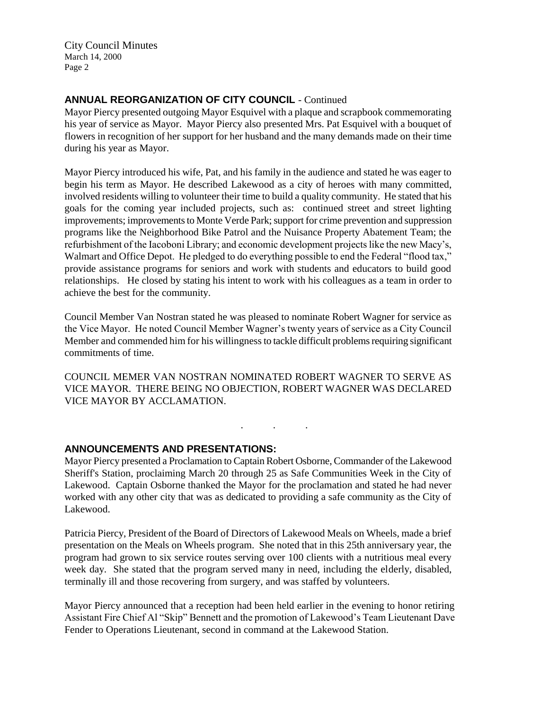## **ANNUAL REORGANIZATION OF CITY COUNCIL** - Continued

Mayor Piercy presented outgoing Mayor Esquivel with a plaque and scrapbook commemorating his year of service as Mayor. Mayor Piercy also presented Mrs. Pat Esquivel with a bouquet of flowers in recognition of her support for her husband and the many demands made on their time during his year as Mayor.

Mayor Piercy introduced his wife, Pat, and his family in the audience and stated he was eager to begin his term as Mayor. He described Lakewood as a city of heroes with many committed, involved residents willing to volunteer their time to build a quality community. He stated that his goals for the coming year included projects, such as: continued street and street lighting improvements; improvements to Monte Verde Park; support for crime prevention and suppression programs like the Neighborhood Bike Patrol and the Nuisance Property Abatement Team; the refurbishment of the Iacoboni Library; and economic development projects like the new Macy's, Walmart and Office Depot. He pledged to do everything possible to end the Federal "flood tax," provide assistance programs for seniors and work with students and educators to build good relationships. He closed by stating his intent to work with his colleagues as a team in order to achieve the best for the community.

Council Member Van Nostran stated he was pleased to nominate Robert Wagner for service as the Vice Mayor. He noted Council Member Wagner's twenty years of service as a City Council Member and commended him for his willingness to tackle difficult problems requiring significant commitments of time.

COUNCIL MEMER VAN NOSTRAN NOMINATED ROBERT WAGNER TO SERVE AS VICE MAYOR. THERE BEING NO OBJECTION, ROBERT WAGNER WAS DECLARED VICE MAYOR BY ACCLAMATION.

. . .

# **ANNOUNCEMENTS AND PRESENTATIONS:**

Mayor Piercy presented a Proclamation to Captain Robert Osborne, Commander of the Lakewood Sheriff's Station, proclaiming March 20 through 25 as Safe Communities Week in the City of Lakewood. Captain Osborne thanked the Mayor for the proclamation and stated he had never worked with any other city that was as dedicated to providing a safe community as the City of Lakewood.

Patricia Piercy, President of the Board of Directors of Lakewood Meals on Wheels, made a brief presentation on the Meals on Wheels program. She noted that in this 25th anniversary year, the program had grown to six service routes serving over 100 clients with a nutritious meal every week day. She stated that the program served many in need, including the elderly, disabled, terminally ill and those recovering from surgery, and was staffed by volunteers.

Mayor Piercy announced that a reception had been held earlier in the evening to honor retiring Assistant Fire Chief Al "Skip" Bennett and the promotion of Lakewood's Team Lieutenant Dave Fender to Operations Lieutenant, second in command at the Lakewood Station.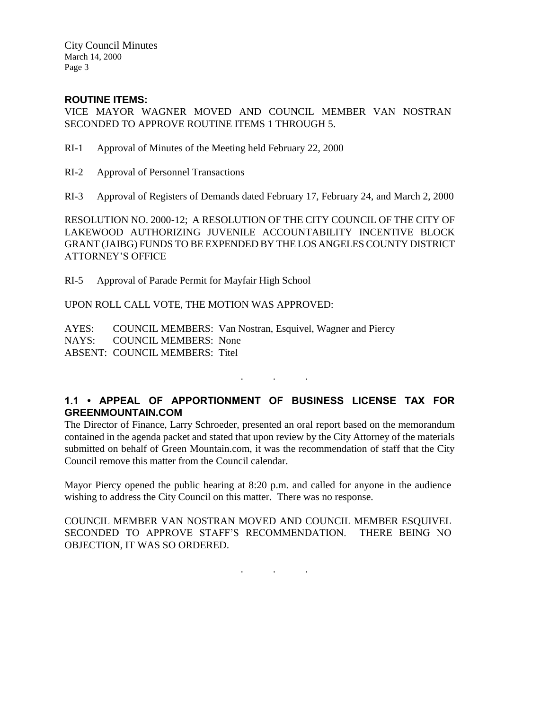### **ROUTINE ITEMS:**

VICE MAYOR WAGNER MOVED AND COUNCIL MEMBER VAN NOSTRAN SECONDED TO APPROVE ROUTINE ITEMS 1 THROUGH 5.

- RI-1 Approval of Minutes of the Meeting held February 22, 2000
- RI-2 Approval of Personnel Transactions
- RI-3 Approval of Registers of Demands dated February 17, February 24, and March 2, 2000

RESOLUTION NO. 2000-12; A RESOLUTION OF THE CITY COUNCIL OF THE CITY OF LAKEWOOD AUTHORIZING JUVENILE ACCOUNTABILITY INCENTIVE BLOCK GRANT (JAIBG) FUNDS TO BE EXPENDED BY THE LOS ANGELES COUNTY DISTRICT ATTORNEY'S OFFICE

RI-5 Approval of Parade Permit for Mayfair High School

UPON ROLL CALL VOTE, THE MOTION WAS APPROVED:

AYES: COUNCIL MEMBERS: Van Nostran, Esquivel, Wagner and Piercy NAYS: COUNCIL MEMBERS: None ABSENT: COUNCIL MEMBERS: Titel

# **1.1 • APPEAL OF APPORTIONMENT OF BUSINESS LICENSE TAX FOR GREENMOUNTAIN.COM**

. . .

The Director of Finance, Larry Schroeder, presented an oral report based on the memorandum contained in the agenda packet and stated that upon review by the City Attorney of the materials submitted on behalf of Green Mountain.com, it was the recommendation of staff that the City Council remove this matter from the Council calendar.

Mayor Piercy opened the public hearing at 8:20 p.m. and called for anyone in the audience wishing to address the City Council on this matter. There was no response.

COUNCIL MEMBER VAN NOSTRAN MOVED AND COUNCIL MEMBER ESQUIVEL SECONDED TO APPROVE STAFF'S RECOMMENDATION. THERE BEING NO OBJECTION, IT WAS SO ORDERED.

. . .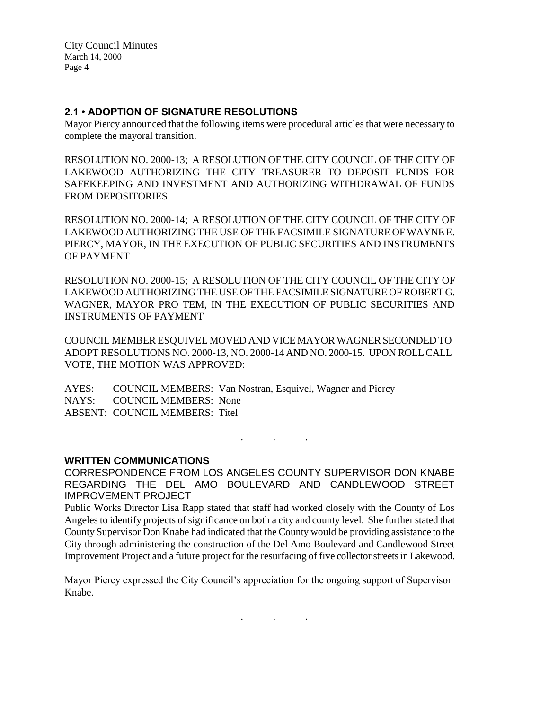#### **2.1 • ADOPTION OF SIGNATURE RESOLUTIONS**

Mayor Piercy announced that the following items were procedural articles that were necessary to complete the mayoral transition.

RESOLUTION NO. 2000-13; A RESOLUTION OF THE CITY COUNCIL OF THE CITY OF LAKEWOOD AUTHORIZING THE CITY TREASURER TO DEPOSIT FUNDS FOR SAFEKEEPING AND INVESTMENT AND AUTHORIZING WITHDRAWAL OF FUNDS FROM DEPOSITORIES

RESOLUTION NO. 2000-14; A RESOLUTION OF THE CITY COUNCIL OF THE CITY OF LAKEWOOD AUTHORIZING THE USE OF THE FACSIMILE SIGNATURE OF WAYNE E. PIERCY, MAYOR, IN THE EXECUTION OF PUBLIC SECURITIES AND INSTRUMENTS OF PAYMENT

RESOLUTION NO. 2000-15; A RESOLUTION OF THE CITY COUNCIL OF THE CITY OF LAKEWOOD AUTHORIZING THE USE OF THE FACSIMILE SIGNATURE OF ROBERT G. WAGNER, MAYOR PRO TEM, IN THE EXECUTION OF PUBLIC SECURITIES AND INSTRUMENTS OF PAYMENT

COUNCIL MEMBER ESQUIVEL MOVED AND VICE MAYOR WAGNER SECONDED TO ADOPT RESOLUTIONS NO. 2000-13, NO. 2000-14 AND NO. 2000-15. UPON ROLL CALL VOTE, THE MOTION WAS APPROVED:

AYES: COUNCIL MEMBERS: Van Nostran, Esquivel, Wagner and Piercy NAYS: COUNCIL MEMBERS: None ABSENT: COUNCIL MEMBERS: Titel

#### **WRITTEN COMMUNICATIONS**

CORRESPONDENCE FROM LOS ANGELES COUNTY SUPERVISOR DON KNABE REGARDING THE DEL AMO BOULEVARD AND CANDLEWOOD STREET IMPROVEMENT PROJECT

. . .

Public Works Director Lisa Rapp stated that staff had worked closely with the County of Los Angeles to identify projects of significance on both a city and county level. She further stated that County Supervisor Don Knabe had indicated that the County would be providing assistance to the City through administering the construction of the Del Amo Boulevard and Candlewood Street Improvement Project and a future project for the resurfacing of five collector streets in Lakewood.

Mayor Piercy expressed the City Council's appreciation for the ongoing support of Supervisor Knabe.

. . .